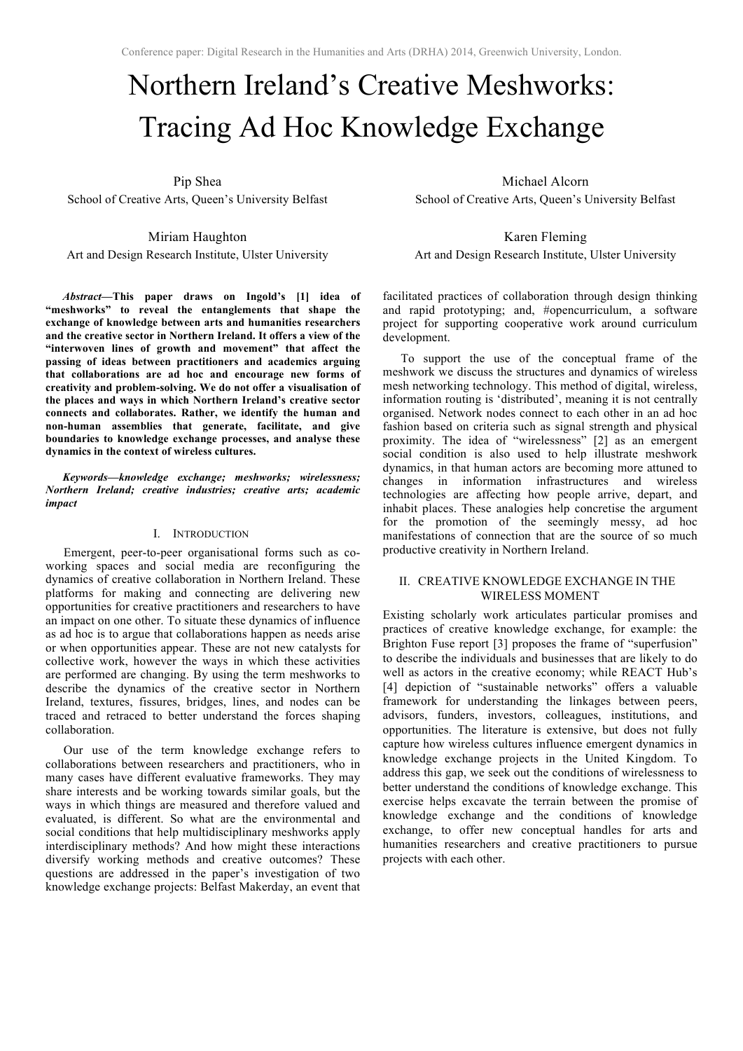# Northern Ireland's Creative Meshworks: Tracing Ad Hoc Knowledge Exchange

Pip Shea

School of Creative Arts, Queen's University Belfast

Miriam Haughton Art and Design Research Institute, Ulster University

*Abstract***—This paper draws on Ingold's [1] idea of "meshworks" to reveal the entanglements that shape the exchange of knowledge between arts and humanities researchers and the creative sector in Northern Ireland. It offers a view of the "interwoven lines of growth and movement" that affect the passing of ideas between practitioners and academics arguing that collaborations are ad hoc and encourage new forms of creativity and problem-solving. We do not offer a visualisation of the places and ways in which Northern Ireland's creative sector connects and collaborates. Rather, we identify the human and non-human assemblies that generate, facilitate, and give boundaries to knowledge exchange processes, and analyse these dynamics in the context of wireless cultures.**

*Keywords—knowledge exchange; meshworks; wirelessness; Northern Ireland; creative industries; creative arts; academic impact*

#### I. INTRODUCTION

Emergent, peer-to-peer organisational forms such as coworking spaces and social media are reconfiguring the dynamics of creative collaboration in Northern Ireland. These platforms for making and connecting are delivering new opportunities for creative practitioners and researchers to have an impact on one other. To situate these dynamics of influence as ad hoc is to argue that collaborations happen as needs arise or when opportunities appear. These are not new catalysts for collective work, however the ways in which these activities are performed are changing. By using the term meshworks to describe the dynamics of the creative sector in Northern Ireland, textures, fissures, bridges, lines, and nodes can be traced and retraced to better understand the forces shaping collaboration.

Our use of the term knowledge exchange refers to collaborations between researchers and practitioners, who in many cases have different evaluative frameworks. They may share interests and be working towards similar goals, but the ways in which things are measured and therefore valued and evaluated, is different. So what are the environmental and social conditions that help multidisciplinary meshworks apply interdisciplinary methods? And how might these interactions diversify working methods and creative outcomes? These questions are addressed in the paper's investigation of two knowledge exchange projects: Belfast Makerday, an event that

Michael Alcorn School of Creative Arts, Queen's University Belfast

Karen Fleming Art and Design Research Institute, Ulster University

facilitated practices of collaboration through design thinking and rapid prototyping; and, #opencurriculum, a software project for supporting cooperative work around curriculum development.

To support the use of the conceptual frame of the meshwork we discuss the structures and dynamics of wireless mesh networking technology. This method of digital, wireless, information routing is 'distributed', meaning it is not centrally organised. Network nodes connect to each other in an ad hoc fashion based on criteria such as signal strength and physical proximity. The idea of "wirelessness" [2] as an emergent social condition is also used to help illustrate meshwork dynamics, in that human actors are becoming more attuned to changes in information infrastructures and wireless technologies are affecting how people arrive, depart, and inhabit places. These analogies help concretise the argument for the promotion of the seemingly messy, ad hoc manifestations of connection that are the source of so much productive creativity in Northern Ireland.

### II. CREATIVE KNOWLEDGE EXCHANGE IN THE WIRELESS MOMENT

Existing scholarly work articulates particular promises and practices of creative knowledge exchange, for example: the Brighton Fuse report [3] proposes the frame of "superfusion" to describe the individuals and businesses that are likely to do well as actors in the creative economy; while REACT Hub's [4] depiction of "sustainable networks" offers a valuable framework for understanding the linkages between peers, advisors, funders, investors, colleagues, institutions, and opportunities. The literature is extensive, but does not fully capture how wireless cultures influence emergent dynamics in knowledge exchange projects in the United Kingdom. To address this gap, we seek out the conditions of wirelessness to better understand the conditions of knowledge exchange. This exercise helps excavate the terrain between the promise of knowledge exchange and the conditions of knowledge exchange, to offer new conceptual handles for arts and humanities researchers and creative practitioners to pursue projects with each other.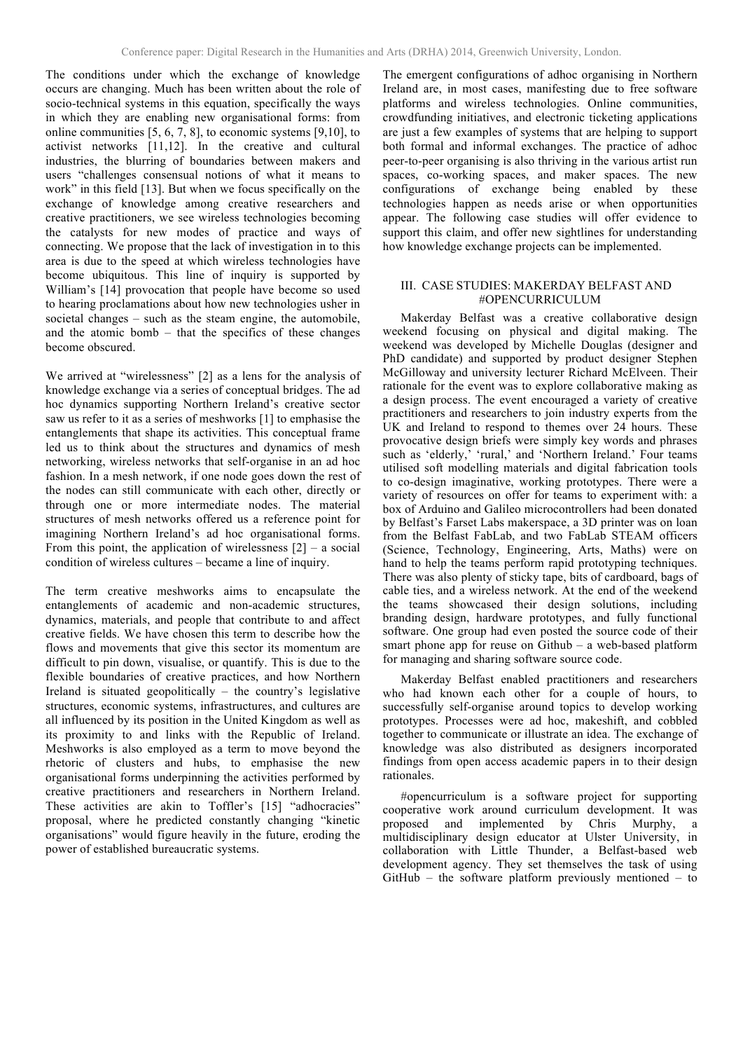The conditions under which the exchange of knowledge occurs are changing. Much has been written about the role of socio-technical systems in this equation, specifically the ways in which they are enabling new organisational forms: from online communities [5, 6, 7, 8], to economic systems [9,10], to activist networks [11,12]. In the creative and cultural industries, the blurring of boundaries between makers and users "challenges consensual notions of what it means to work" in this field [13]. But when we focus specifically on the exchange of knowledge among creative researchers and creative practitioners, we see wireless technologies becoming the catalysts for new modes of practice and ways of connecting. We propose that the lack of investigation in to this area is due to the speed at which wireless technologies have become ubiquitous. This line of inquiry is supported by William's [14] provocation that people have become so used to hearing proclamations about how new technologies usher in societal changes – such as the steam engine, the automobile, and the atomic bomb – that the specifics of these changes become obscured.

We arrived at "wirelessness" [2] as a lens for the analysis of knowledge exchange via a series of conceptual bridges. The ad hoc dynamics supporting Northern Ireland's creative sector saw us refer to it as a series of meshworks [1] to emphasise the entanglements that shape its activities. This conceptual frame led us to think about the structures and dynamics of mesh networking, wireless networks that self-organise in an ad hoc fashion. In a mesh network, if one node goes down the rest of the nodes can still communicate with each other, directly or through one or more intermediate nodes. The material structures of mesh networks offered us a reference point for imagining Northern Ireland's ad hoc organisational forms. From this point, the application of wirelessness  $[2]$  – a social condition of wireless cultures – became a line of inquiry.

The term creative meshworks aims to encapsulate the entanglements of academic and non-academic structures, dynamics, materials, and people that contribute to and affect creative fields. We have chosen this term to describe how the flows and movements that give this sector its momentum are difficult to pin down, visualise, or quantify. This is due to the flexible boundaries of creative practices, and how Northern Ireland is situated geopolitically – the country's legislative structures, economic systems, infrastructures, and cultures are all influenced by its position in the United Kingdom as well as its proximity to and links with the Republic of Ireland. Meshworks is also employed as a term to move beyond the rhetoric of clusters and hubs, to emphasise the new organisational forms underpinning the activities performed by creative practitioners and researchers in Northern Ireland. These activities are akin to Toffler's [15] "adhocracies" proposal, where he predicted constantly changing "kinetic organisations" would figure heavily in the future, eroding the power of established bureaucratic systems.

The emergent configurations of adhoc organising in Northern Ireland are, in most cases, manifesting due to free software platforms and wireless technologies. Online communities, crowdfunding initiatives, and electronic ticketing applications are just a few examples of systems that are helping to support both formal and informal exchanges. The practice of adhoc peer-to-peer organising is also thriving in the various artist run spaces, co-working spaces, and maker spaces. The new configurations of exchange being enabled by these technologies happen as needs arise or when opportunities appear. The following case studies will offer evidence to support this claim, and offer new sightlines for understanding how knowledge exchange projects can be implemented.

## III. CASE STUDIES: MAKERDAY BELFAST AND #OPENCURRICULUM

Makerday Belfast was a creative collaborative design weekend focusing on physical and digital making. The weekend was developed by Michelle Douglas (designer and PhD candidate) and supported by product designer Stephen McGilloway and university lecturer Richard McElveen. Their rationale for the event was to explore collaborative making as a design process. The event encouraged a variety of creative practitioners and researchers to join industry experts from the UK and Ireland to respond to themes over 24 hours. These provocative design briefs were simply key words and phrases such as 'elderly,' 'rural,' and 'Northern Ireland.' Four teams utilised soft modelling materials and digital fabrication tools to co-design imaginative, working prototypes. There were a variety of resources on offer for teams to experiment with: a box of Arduino and Galileo microcontrollers had been donated by Belfast's Farset Labs makerspace, a 3D printer was on loan from the Belfast FabLab, and two FabLab STEAM officers (Science, Technology, Engineering, Arts, Maths) were on hand to help the teams perform rapid prototyping techniques. There was also plenty of sticky tape, bits of cardboard, bags of cable ties, and a wireless network. At the end of the weekend the teams showcased their design solutions, including branding design, hardware prototypes, and fully functional software. One group had even posted the source code of their smart phone app for reuse on Github – a web-based platform for managing and sharing software source code.

Makerday Belfast enabled practitioners and researchers who had known each other for a couple of hours, to successfully self-organise around topics to develop working prototypes. Processes were ad hoc, makeshift, and cobbled together to communicate or illustrate an idea. The exchange of knowledge was also distributed as designers incorporated findings from open access academic papers in to their design rationales.

#opencurriculum is a software project for supporting cooperative work around curriculum development. It was proposed and implemented by Chris Murphy, a multidisciplinary design educator at Ulster University, in collaboration with Little Thunder, a Belfast-based web development agency. They set themselves the task of using GitHub – the software platform previously mentioned – to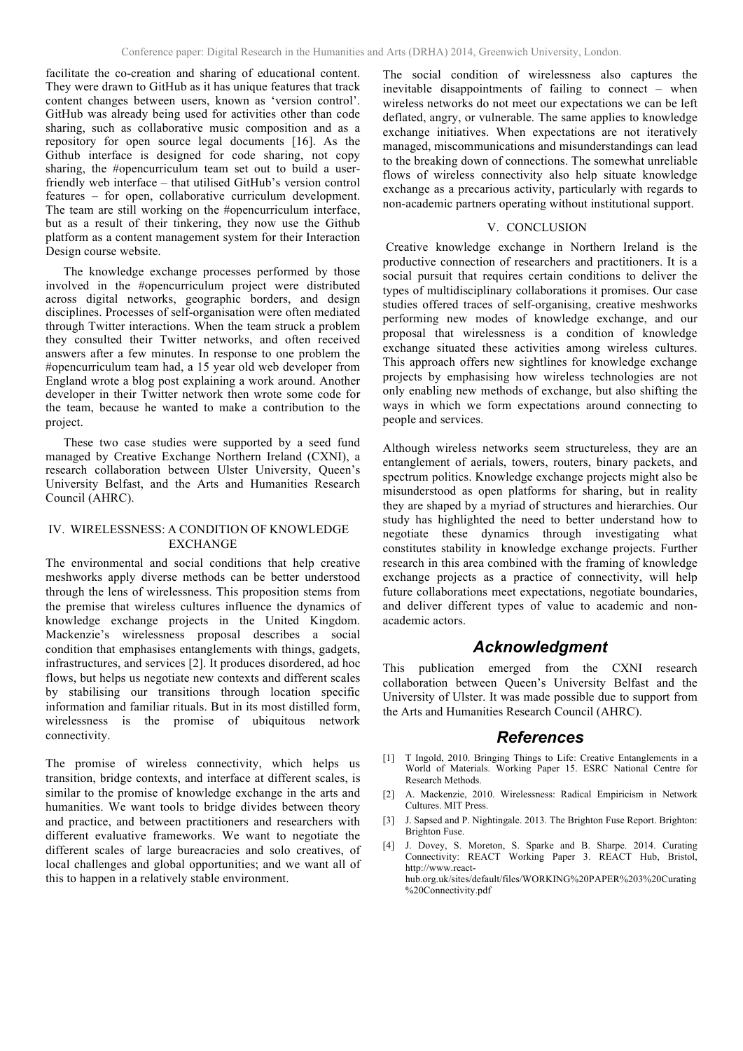facilitate the co-creation and sharing of educational content. They were drawn to GitHub as it has unique features that track content changes between users, known as 'version control'. GitHub was already being used for activities other than code sharing, such as collaborative music composition and as a repository for open source legal documents [16]. As the Github interface is designed for code sharing, not copy sharing, the #opencurriculum team set out to build a userfriendly web interface – that utilised GitHub's version control features – for open, collaborative curriculum development. The team are still working on the #opencurriculum interface, but as a result of their tinkering, they now use the Github platform as a content management system for their Interaction Design course website.

The knowledge exchange processes performed by those involved in the #opencurriculum project were distributed across digital networks, geographic borders, and design disciplines. Processes of self-organisation were often mediated through Twitter interactions. When the team struck a problem they consulted their Twitter networks, and often received answers after a few minutes. In response to one problem the #opencurriculum team had, a 15 year old web developer from England wrote a blog post explaining a work around. Another developer in their Twitter network then wrote some code for the team, because he wanted to make a contribution to the project.

These two case studies were supported by a seed fund managed by Creative Exchange Northern Ireland (CXNI), a research collaboration between Ulster University, Queen's University Belfast, and the Arts and Humanities Research Council (AHRC).

## IV. WIRELESSNESS: A CONDITION OF KNOWLEDGE EXCHANGE

The environmental and social conditions that help creative meshworks apply diverse methods can be better understood through the lens of wirelessness. This proposition stems from the premise that wireless cultures influence the dynamics of knowledge exchange projects in the United Kingdom. Mackenzie's wirelessness proposal describes a social condition that emphasises entanglements with things, gadgets, infrastructures, and services [2]. It produces disordered, ad hoc flows, but helps us negotiate new contexts and different scales by stabilising our transitions through location specific information and familiar rituals. But in its most distilled form, wirelessness is the promise of ubiquitous network connectivity.

The promise of wireless connectivity, which helps us transition, bridge contexts, and interface at different scales, is similar to the promise of knowledge exchange in the arts and humanities. We want tools to bridge divides between theory and practice, and between practitioners and researchers with different evaluative frameworks. We want to negotiate the different scales of large bureacracies and solo creatives, of local challenges and global opportunities; and we want all of this to happen in a relatively stable environment.

The social condition of wirelessness also captures the inevitable disappointments of failing to connect – when wireless networks do not meet our expectations we can be left deflated, angry, or vulnerable. The same applies to knowledge exchange initiatives. When expectations are not iteratively managed, miscommunications and misunderstandings can lead to the breaking down of connections. The somewhat unreliable flows of wireless connectivity also help situate knowledge exchange as a precarious activity, particularly with regards to non-academic partners operating without institutional support.

#### V. CONCLUSION

 Creative knowledge exchange in Northern Ireland is the productive connection of researchers and practitioners. It is a social pursuit that requires certain conditions to deliver the types of multidisciplinary collaborations it promises. Our case studies offered traces of self-organising, creative meshworks performing new modes of knowledge exchange, and our proposal that wirelessness is a condition of knowledge exchange situated these activities among wireless cultures. This approach offers new sightlines for knowledge exchange projects by emphasising how wireless technologies are not only enabling new methods of exchange, but also shifting the ways in which we form expectations around connecting to people and services.

Although wireless networks seem structureless, they are an entanglement of aerials, towers, routers, binary packets, and spectrum politics. Knowledge exchange projects might also be misunderstood as open platforms for sharing, but in reality they are shaped by a myriad of structures and hierarchies. Our study has highlighted the need to better understand how to negotiate these dynamics through investigating what constitutes stability in knowledge exchange projects. Further research in this area combined with the framing of knowledge exchange projects as a practice of connectivity, will help future collaborations meet expectations, negotiate boundaries, and deliver different types of value to academic and nonacademic actors.

# *Acknowledgment*

This publication emerged from the CXNI research collaboration between Queen's University Belfast and the University of Ulster. It was made possible due to support from the Arts and Humanities Research Council (AHRC).

## *References*

- [1] T Ingold, 2010. Bringing Things to Life: Creative Entanglements in a World of Materials. Working Paper 15. ESRC National Centre for Research Methods.
- [2] A. Mackenzie, 2010. Wirelessness: Radical Empiricism in Network Cultures. MIT Press.
- [3] J. Sapsed and P. Nightingale. 2013. The Brighton Fuse Report. Brighton: Brighton Fuse.
- [4] J. Dovey, S. Moreton, S. Sparke and B. Sharpe. 2014. Curating Connectivity: REACT Working Paper 3. REACT Hub, Bristol, http://www.reacthub.org.uk/sites/default/files/WORKING%20PAPER%203%20Curating %20Connectivity.pdf